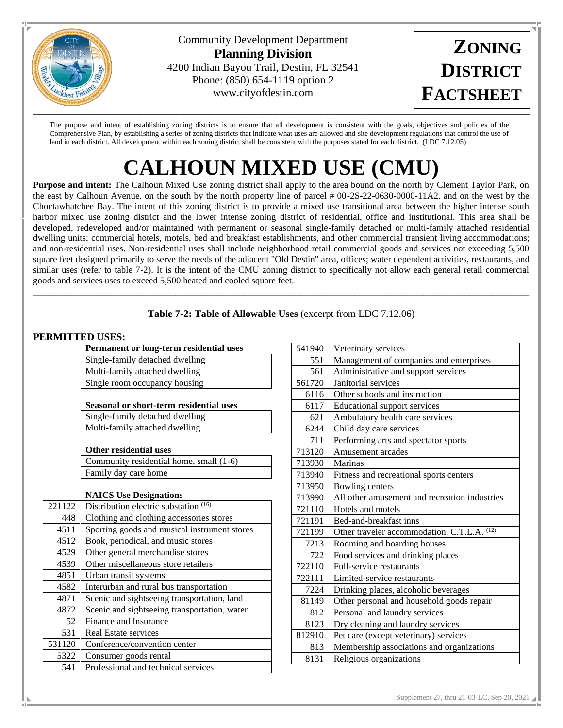

Community Development Department **Planning Division** 4200 Indian Bayou Trail, Destin, FL 32541 Phone: (850) 654-1119 option 2 www.cityofdestin.com

**ZONING DISTRICT FACTSHEET**

The purpose and intent of establishing zoning districts is to ensure that all development is consistent with the goals, objectives and policies of the Comprehensive Plan, by establishing a series of zoning districts that indicate what uses are allowed and site development regulations that control the use of land in each district. All development within each zoning district shall be consistent with the purposes stated for each district. (LDC 7.12.05)

# \_\_\_\_\_\_\_\_\_\_\_\_\_\_\_\_\_\_\_\_\_\_\_\_\_\_\_\_\_\_\_\_\_\_\_\_\_\_\_\_\_\_\_\_\_\_\_\_\_\_\_\_\_\_\_\_\_\_\_\_\_\_\_\_\_\_\_\_\_\_\_\_\_\_\_\_\_\_\_\_\_\_\_\_\_\_\_\_\_\_\_\_\_\_\_\_\_\_\_\_\_\_\_\_\_\_\_\_\_\_\_\_\_\_\_\_\_\_\_\_\_\_\_\_\_\_\_\_\_\_\_\_\_\_\_ **CALHOUN MIXED USE (CMU)**

**Purpose and intent:** The Calhoun Mixed Use zoning district shall apply to the area bound on the north by Clement Taylor Park, on the east by Calhoun Avenue, on the south by the north property line of parcel # 00-2S-22-0630-0000-11A2, and on the west by the Choctawhatchee Bay. The intent of this zoning district is to provide a mixed use transitional area between the higher intense south harbor mixed use zoning district and the lower intense zoning district of residential, office and institutional. This area shall be developed, redeveloped and/or maintained with permanent or seasonal single-family detached or multi-family attached residential dwelling units; commercial hotels, motels, bed and breakfast establishments, and other commercial transient living accommodations; and non-residential uses. Non-residential uses shall include neighborhood retail commercial goods and services not exceeding 5,500 square feet designed primarily to serve the needs of the adjacent "Old Destin" area, offices; water dependent activities, restaurants, and similar uses (refer to table 7-2). It is the intent of the CMU zoning district to specifically not allow each general retail commercial goods and services uses to exceed 5,500 heated and cooled square feet.

## **Table 7-2: Table of Allowable Uses** (excerpt from LDC 7.12.06)

\_\_\_\_\_\_\_\_\_\_\_\_\_\_\_\_\_\_\_\_\_\_\_\_\_\_\_\_\_\_\_\_\_\_\_\_\_\_\_\_\_\_\_\_\_\_\_\_\_\_\_\_\_\_\_\_\_\_\_\_\_\_\_\_\_\_\_\_\_\_\_\_\_\_\_\_\_\_\_\_\_\_\_\_\_\_\_\_\_\_\_\_\_\_\_\_\_\_\_\_\_\_\_\_\_\_\_\_

## **PERMITTED USES:**

**Permanent or long-term residential uses**

| I ermanent of fong term residential disci |
|-------------------------------------------|
| Single-family detached dwelling           |
| Multi-family attached dwelling            |
| Single room occupancy housing             |
|                                           |

#### **Seasonal or short-term residential uses**

Single-family detached dwelling Multi-family attached dwelling

## **Other residential uses**

Community residential home, small (1-6) Family day care home

## **NAICS Use Designations**

| 221122 | Distribution electric substation (16)        |
|--------|----------------------------------------------|
| 448    | Clothing and clothing accessories stores     |
| 4511   | Sporting goods and musical instrument stores |
| 4512   | Book, periodical, and music stores           |
| 4529   | Other general merchandise stores             |
| 4539   | Other miscellaneous store retailers          |
| 4851   | Urban transit systems                        |
| 4582   | Interurban and rural bus transportation      |
| 4871   | Scenic and sightseeing transportation, land  |
| 4872   | Scenic and sightseeing transportation, water |
| 52     | Finance and Insurance                        |
| 531    | Real Estate services                         |
| 531120 | Conference/convention center                 |
| 5322   | Consumer goods rental                        |
| 541    | Professional and technical services          |

| 541940 | Veterinary services                           |  |  |
|--------|-----------------------------------------------|--|--|
| 551    | Management of companies and enterprises       |  |  |
| 561    | Administrative and support services           |  |  |
| 561720 | Janitorial services                           |  |  |
| 6116   | Other schools and instruction                 |  |  |
| 6117   | <b>Educational support services</b>           |  |  |
| 621    | Ambulatory health care services               |  |  |
| 6244   | Child day care services                       |  |  |
| 711    | Performing arts and spectator sports          |  |  |
| 713120 | Amusement arcades                             |  |  |
| 713930 | Marinas                                       |  |  |
| 713940 | Fitness and recreational sports centers       |  |  |
| 713950 | Bowling centers                               |  |  |
| 713990 | All other amusement and recreation industries |  |  |
| 721110 | Hotels and motels                             |  |  |
| 721191 | Bed-and-breakfast inns                        |  |  |
| 721199 | Other traveler accommodation, C.T.L.A. (12)   |  |  |
| 7213   | Rooming and boarding houses                   |  |  |
| 722    | Food services and drinking places             |  |  |
| 722110 | Full-service restaurants                      |  |  |
| 722111 | Limited-service restaurants                   |  |  |
| 7224   | Drinking places, alcoholic beverages          |  |  |
| 81149  | Other personal and household goods repair     |  |  |
| 812    | Personal and laundry services                 |  |  |
| 8123   | Dry cleaning and laundry services             |  |  |
| 812910 | Pet care (except veterinary) services         |  |  |
| 813    | Membership associations and organizations     |  |  |
| 8131   | Religious organizations                       |  |  |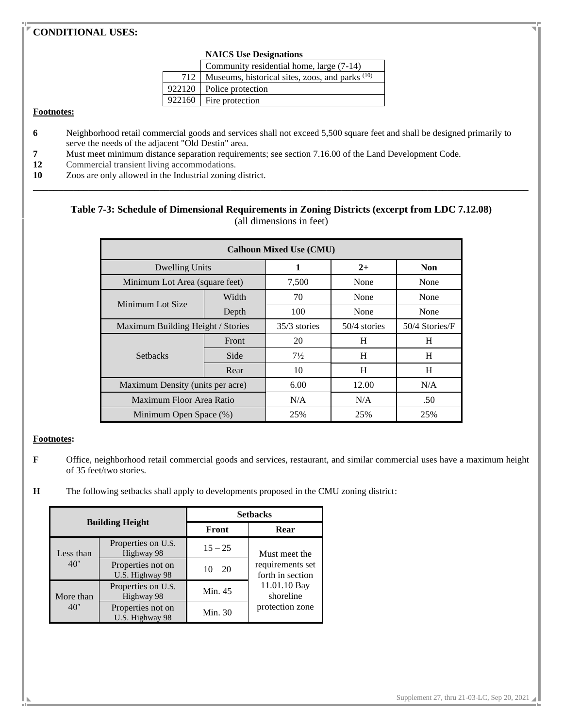## **CONDITIONAL USES:**

#### **NAICS Use Designations**

| Community residential home, large (7-14)              |  |  |  |
|-------------------------------------------------------|--|--|--|
| 712   Museums, historical sites, zoos, and parks (10) |  |  |  |
| 922120   Police protection                            |  |  |  |
| 922160   Fire protection                              |  |  |  |
|                                                       |  |  |  |

#### **Footnotes:**

- **6** Neighborhood retail commercial goods and services shall not exceed 5,500 square feet and shall be designed primarily to serve the needs of the adjacent "Old Destin" area.
- **7** Must meet minimum distance separation requirements; see section 7.16.00 of the Land Development Code.
- **12** Commercial transient living accommodations.
- **10** Zoos are only allowed in the Industrial zoning district.

## **Table 7-3: Schedule of Dimensional Requirements in Zoning Districts (excerpt from LDC 7.12.08)** (all dimensions in feet)

**\_\_\_\_\_\_\_\_\_\_\_\_\_\_\_\_\_\_\_\_\_\_\_\_\_\_\_\_\_\_\_\_\_\_\_\_\_\_\_\_\_\_\_\_\_\_\_\_\_\_\_\_\_\_\_\_\_\_\_\_\_\_\_\_\_\_\_\_\_\_\_\_\_\_\_\_\_\_\_\_\_\_\_\_\_\_\_\_\_\_\_\_\_\_\_\_\_\_**

| <b>Calhoun Mixed Use (CMU)</b>    |       |                |              |                |
|-----------------------------------|-------|----------------|--------------|----------------|
| Dwelling Units                    |       | 1              | $2+$         | <b>Non</b>     |
| Minimum Lot Area (square feet)    |       | 7,500          | None         | None           |
| Minimum Lot Size                  | Width | 70             | None         | None           |
|                                   | Depth | 100            | None         | None           |
| Maximum Building Height / Stories |       | 35/3 stories   | 50/4 stories | 50/4 Stories/F |
|                                   | Front | 20             | H            | H              |
| <b>Setbacks</b>                   | Side  | $7\frac{1}{2}$ | H            | H              |
|                                   | Rear  | 10             | H            | H              |
| Maximum Density (units per acre)  |       | 6.00           | 12.00        | N/A            |
| Maximum Floor Area Ratio          |       | N/A            | N/A          | .50            |
| Minimum Open Space (%)            |       | 25%            | 25%          | 25%            |

#### **Footnotes:**

- **F** Office, neighborhood retail commercial goods and services, restaurant, and similar commercial uses have a maximum height of 35 feet/two stories.
- **H** The following setbacks shall apply to developments proposed in the CMU zoning district:

| <b>Building Height</b>    |                                      | <b>Setbacks</b> |                                      |  |
|---------------------------|--------------------------------------|-----------------|--------------------------------------|--|
|                           |                                      | Front           | Rear                                 |  |
| Less than<br>$40^{\circ}$ | Properties on U.S.<br>Highway 98     | $15 - 25$       | Must meet the                        |  |
|                           | Properties not on<br>U.S. Highway 98 | $10 - 20$       | requirements set<br>forth in section |  |
| More than<br>$40^{\circ}$ | Properties on U.S.<br>Highway 98     | Min. 45         | 11.01.10 Bay<br>shoreline            |  |
|                           | Properties not on<br>U.S. Highway 98 | Min. 30         | protection zone                      |  |